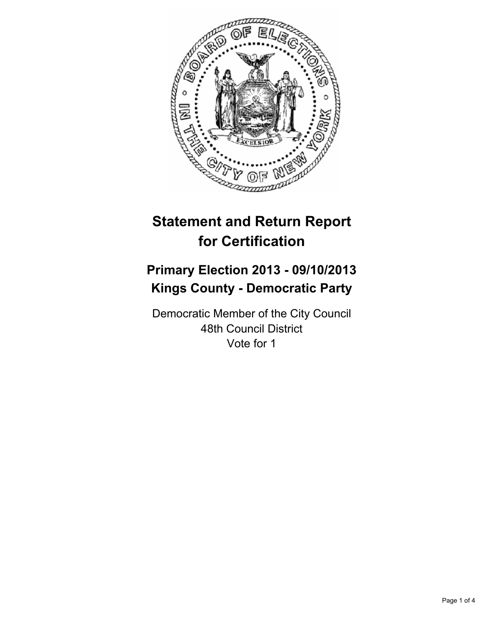

# **Statement and Return Report for Certification**

## **Primary Election 2013 - 09/10/2013 Kings County - Democratic Party**

Democratic Member of the City Council 48th Council District Vote for 1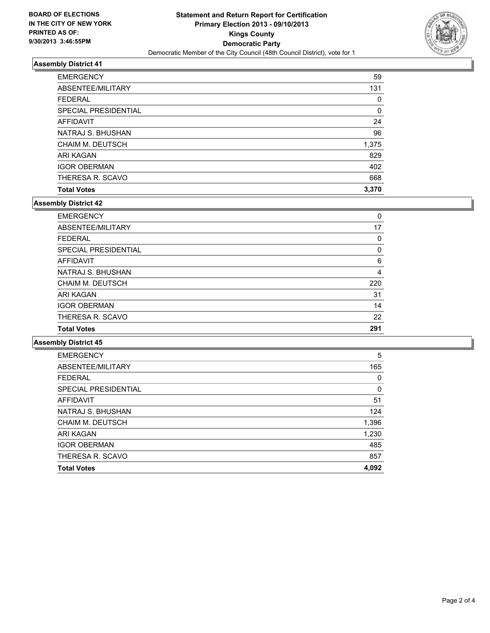

## **Assembly District 41**

| <b>EMERGENCY</b>        | 59    |
|-------------------------|-------|
| ABSENTEE/MILITARY       | 131   |
| <b>FEDERAL</b>          | 0     |
| SPECIAL PRESIDENTIAL    | 0     |
| <b>AFFIDAVIT</b>        | 24    |
| NATRAJ S. BHUSHAN       | 96    |
| <b>CHAIM M. DEUTSCH</b> | 1,375 |
| ARI KAGAN               | 829   |
| <b>IGOR OBERMAN</b>     | 402   |
| THERESA R. SCAVO        | 668   |
| <b>Total Votes</b>      | 3,370 |

## **Assembly District 42**

| <b>EMERGENCY</b>        | 0   |
|-------------------------|-----|
| ABSENTEE/MILITARY       | 17  |
| <b>FEDERAL</b>          | 0   |
| SPECIAL PRESIDENTIAL    | 0   |
| AFFIDAVIT               | 6   |
| NATRAJ S. BHUSHAN       | 4   |
| <b>CHAIM M. DEUTSCH</b> | 220 |
| ARI KAGAN               | 31  |
| <b>IGOR OBERMAN</b>     | 14  |
| THERESA R. SCAVO        | 22  |
| <b>Total Votes</b>      | 291 |

**Assembly District 45**

| <b>EMERGENCY</b>        | 5     |
|-------------------------|-------|
| ABSENTEE/MILITARY       | 165   |
| <b>FEDERAL</b>          | 0     |
| SPECIAL PRESIDENTIAL    | 0     |
| <b>AFFIDAVIT</b>        | 51    |
| NATRAJ S. BHUSHAN       | 124   |
| <b>CHAIM M. DEUTSCH</b> | 1,396 |
| ARI KAGAN               | 1,230 |
| <b>IGOR OBERMAN</b>     | 485   |
| THERESA R. SCAVO        | 857   |
| <b>Total Votes</b>      | 4.092 |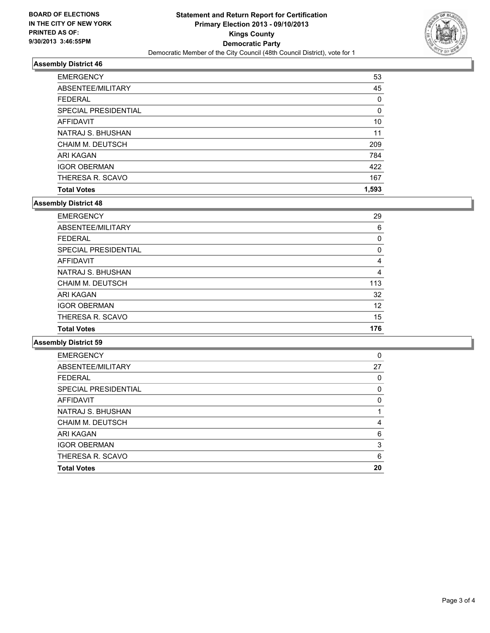

### **Assembly District 46**

| <b>EMERGENCY</b>        | 53    |
|-------------------------|-------|
| ABSENTEE/MILITARY       | 45    |
| <b>FEDERAL</b>          | 0     |
| SPECIAL PRESIDENTIAL    | 0     |
| <b>AFFIDAVIT</b>        | 10    |
| NATRAJ S. BHUSHAN       | 11    |
| <b>CHAIM M. DEUTSCH</b> | 209   |
| ARI KAGAN               | 784   |
| <b>IGOR OBERMAN</b>     | 422   |
| THERESA R. SCAVO        | 167   |
| <b>Total Votes</b>      | 1,593 |

### **Assembly District 48**

| <b>Total Votes</b>      | 176 |
|-------------------------|-----|
| THERESA R. SCAVO        | 15  |
| <b>IGOR OBERMAN</b>     | 12  |
| ARI KAGAN               | 32  |
| <b>CHAIM M. DEUTSCH</b> | 113 |
| NATRAJ S. BHUSHAN       | 4   |
| AFFIDAVIT               | 4   |
| SPECIAL PRESIDENTIAL    | 0   |
| <b>FEDERAL</b>          | 0   |
| ABSENTEE/MILITARY       | 6   |
| <b>EMERGENCY</b>        | 29  |

**Assembly District 59**

| <b>Total Votes</b>   | 20 |
|----------------------|----|
| THERESA R. SCAVO     | 6  |
| <b>IGOR OBERMAN</b>  | 3  |
| ARI KAGAN            | 6  |
| CHAIM M. DEUTSCH     | 4  |
| NATRAJ S. BHUSHAN    |    |
| AFFIDAVIT            | 0  |
| SPECIAL PRESIDENTIAL | 0  |
| <b>FEDERAL</b>       | 0  |
| ABSENTEE/MILITARY    | 27 |
| <b>EMERGENCY</b>     | 0  |